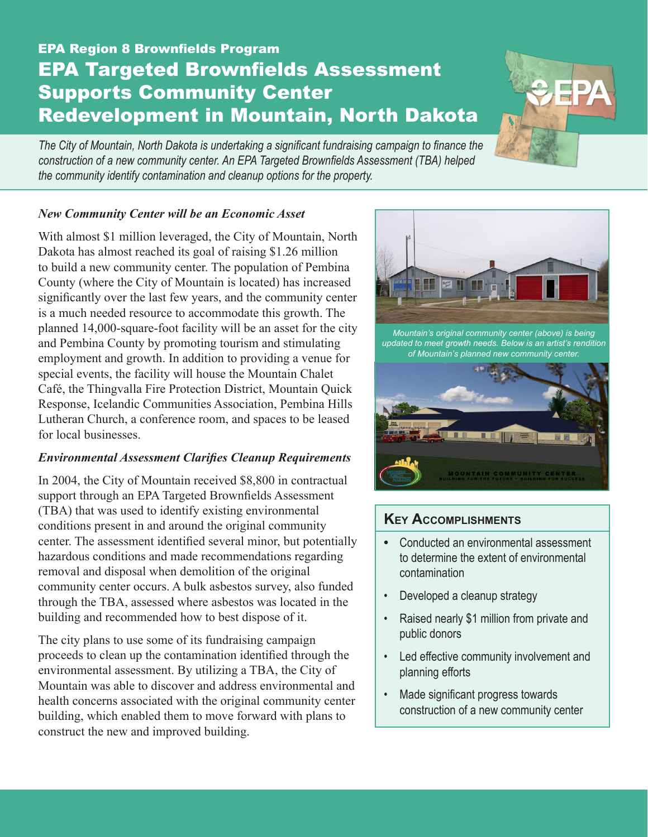# EPA Region 8 Brownfields Program EPA Targeted Brownfields Assessment Supports Community Center Redevelopment in Mountain, North Dakota



*The City of Mountain, North Dakota is undertaking a significant fundraising campaign to finance the construction of a new community center. An EPA Targeted Brownfields Assessment (TBA) helped the community identify contamination and cleanup options for the property.*

#### *New Community Center will be an Economic Asset*

With almost \$1 million leveraged, the City of Mountain, North Dakota has almost reached its goal of raising \$1.26 million to build a new community center. The population of Pembina County (where the City of Mountain is located) has increased significantly over the last few years, and the community center is a much needed resource to accommodate this growth. The planned 14,000-square-foot facility will be an asset for the city and Pembina County by promoting tourism and stimulating employment and growth. In addition to providing a venue for special events, the facility will house the Mountain Chalet Café, the Thingvalla Fire Protection District, Mountain Quick Response, Icelandic Communities Association, Pembina Hills Lutheran Church, a conference room, and spaces to be leased for local businesses.

#### *Environmental Assessment Clarifies Cleanup Requirements*

In 2004, the City of Mountain received \$8,800 in contractual support through an EPA Targeted Brownfields Assessment (TBA) that was used to identify existing environmental conditions present in and around the original community center. The assessment identified several minor, but potentially hazardous conditions and made recommendations regarding removal and disposal when demolition of the original community center occurs. A bulk asbestos survey, also funded through the TBA, assessed where asbestos was located in the building and recommended how to best dispose of it.

The city plans to use some of its fundraising campaign proceeds to clean up the contamination identified through the environmental assessment. By utilizing a TBA, the City of Mountain was able to discover and address environmental and health concerns associated with the original community center building, which enabled them to move forward with plans to construct the new and improved building.



*Mountain's original community center (above) is being updated to meet growth needs. Below is an artist's rendition of Mountain's planned new community center.*



## **Key Accomplishments**

- Conducted an environmental assessment to determine the extent of environmental contamination
- • Developed a cleanup strategy
- • Raised nearly \$1 million from private and public donors
- • Led effective community involvement and planning efforts
- Made significant progress towards construction of a new community center